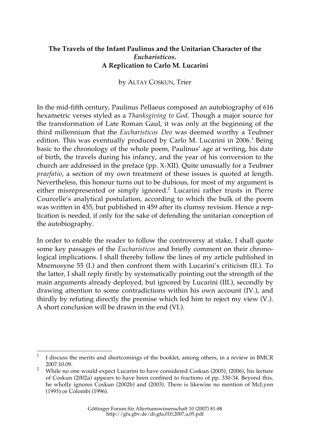# **The Travels of the Infant Paulinus and the Unitarian Character of the** *Eucharisticos***. A Replication to Carlo M. Lucarini**

by ALTAY COSKUN, Trier

In the mid-fifth century, Paulinus Pellaeus composed an autobiography of 616 hexametric verses styled as a *Thanksgiving to God*. Though a major source for the transformation of Late Roman Gaul, it was only at the beginning of the third millennium that the *Eucharisticos Deo* was deemed worthy a Teubner edition. This was eventually produced by Carlo M. Lucarini in 2006.<sup>1</sup> Being basic to the chronology of the whole poem, Paulinus' age at writing, his date of birth, the travels during his infancy, and the year of his conversion to the church are addressed in the preface (pp. X-XII). Quite unusually for a Teubner *praefatio*, a section of my own treatment of these issues is quoted at length. Nevertheless, this honour turns out to be dubious, for most of my argument is either misrepresented or simply ignored.<sup>2</sup> Lucarini rather trusts in Pierre Courcelle's analytical postulation, according to which the bulk of the poem was written in 455, but published in 459 after its clumsy revision. Hence a replication is needed, if only for the sake of defending the unitarian conception of the autobiography.

In order to enable the reader to follow the controversy at stake, I shall quote some key passages of the *Eucharisticos* and briefly comment on their chronological implications. I shall thereby follow the lines of my article published in Mnemosyne 55 (I.) and then confront them with Lucarini's criticism (II.). To the latter, I shall reply firstly by systematically pointing out the strength of the main arguments already deployed, but ignored by Lucarini (III.), secondly by drawing attention to some contradictions within his own account (IV.), and thirdly by refuting directly the premise which led him to reject my view (V.). A short conclusion will be drawn in the end (VI.).

 $\overline{a}$ <sup>1</sup> I discuss the merits and shortcomings of the booklet, among others, in a review in BMCR 2007.10.09.

<sup>2</sup> While no one would expect Lucarini to have considered Coskun (2005), (2006), his lecture of Coskun (2002a) appears to have been confined to fractions of pp. 330-34. Beyond this, he wholly ignores Coskun (2002b) and (2003). There is likewise no mention of McLynn (1995) or Colombi (1996).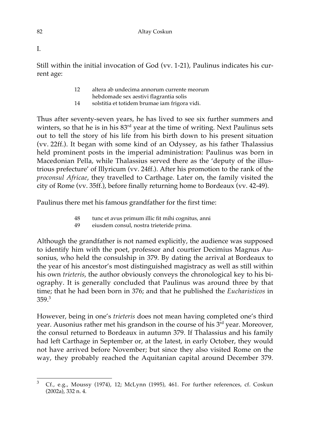I.

Still within the initial invocation of God (vv. 1-21), Paulinus indicates his current age:

- 12 altera ab undecima annorum currente meorum
- hebdomade sex aestivi flagrantia solis 14 solstitia et totidem brumae iam frigora vidi.

Thus after seventy-seven years, he has lived to see six further summers and winters, so that he is in his 83rd year at the time of writing. Next Paulinus sets out to tell the story of his life from his birth down to his present situation (vv. 22ff.). It began with some kind of an Odyssey, as his father Thalassius held prominent posts in the imperial administration: Paulinus was born in Macedonian Pella, while Thalassius served there as the 'deputy of the illustrious prefecture' of Illyricum (vv. 24ff.). After his promotion to the rank of the *proconsul Africae*, they travelled to Carthage. Later on, the family visited the city of Rome (vv. 35ff.), before finally returning home to Bordeaux (vv. 42-49).

Paulinus there met his famous grandfather for the first time:

- 48 tunc et avus primum illic fit mihi cognitus, anni
- 49 eiusdem consul, nostra trieteride prima.

Although the grandfather is not named explicitly, the audience was supposed to identify him with the poet, professor and courtier Decimius Magnus Ausonius, who held the consulship in 379. By dating the arrival at Bordeaux to the year of his ancestor's most distinguished magistracy as well as still within his own *trieteris*, the author obviously conveys the chronological key to his biography. It is generally concluded that Paulinus was around three by that time; that he had been born in 376; and that he published the *Eucharisticos* in 359.3

However, being in one's *trieteris* does not mean having completed one's third year. Ausonius rather met his grandson in the course of his 3<sup>rd</sup> year. Moreover, the consul returned to Bordeaux in autumn 379. If Thalassius and his family had left Carthage in September or, at the latest, in early October, they would not have arrived before November; but since they also visited Rome on the way, they probably reached the Aquitanian capital around December 379.

 $3$  Cf., e.g., Moussy (1974), 12; McLynn (1995), 461. For further references, cf. Coskun (2002a), 332 n. 4.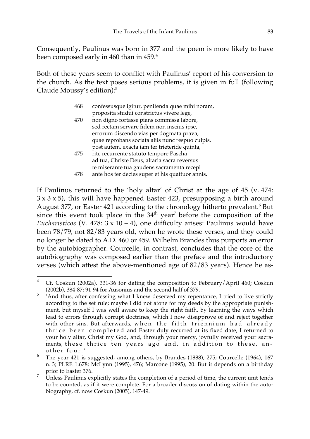Consequently, Paulinus was born in 377 and the poem is more likely to have been composed early in 460 than in 459.4

Both of these years seem to conflict with Paulinus' report of his conversion to the church. As the text poses serious problems, it is given in full (following Claude Moussy's edition):5

- 468 confessusque igitur, penitenda quae mihi noram, proposita studui constrictus vivere lege,
- 470 non digno fortasse pians commissa labore, sed rectam servare fidem non inscius ipse, errorum discendo vias per dogmata prava, quae reprobans sociata aliis nunc respuo culpis. post autem, exacta iam ter trieteride quinta,
- 475 rite recurrente statuto tempore Pascha ad tua, Christe Deus, altaria sacra reversus te miserante tua gaudens sacramenta recepi
- 478 ante hos ter decies super et his quattuor annis.

If Paulinus returned to the 'holy altar' of Christ at the age of 45 (v. 474:  $3 \times 3 \times 5$ ), this will have happened Easter 423, presupposing a birth around August 377, or Easter 421 according to the chronology hitherto prevalent.<sup>6</sup> But since this event took place in the  $34<sup>th</sup>$  year<sup>7</sup> before the composition of the *Eucharisticos* (V. 478:  $3 \times 10 + 4$ ), one difficulty arises: Paulinus would have been 78/79, not 82/83 years old, when he wrote these verses, and they could no longer be dated to A.D. 460 or 459. Wilhelm Brandes thus purports an error by the autobiographer. Courcelle, in contrast, concludes that the core of the autobiography was composed earlier than the preface and the introductory verses (which attest the above-mentioned age of 82/83 years). Hence he as-

 $\overline{a}$ 

<sup>4</sup> Cf. Coskun (2002a), 331-36 for dating the composition to February/April 460; Coskun (2002b), 384-87; 91-94 for Ausonius and the second half of 379.

<sup>&</sup>lt;sup>5</sup> 'And thus, after confessing what I knew deserved my repentance, I tried to live strictly according to the set rule; maybe I did not atone for my deeds by the appropriate punishment, but myself I was well aware to keep the right faith, by learning the ways which lead to errors through corrupt doctrines, which I now disapprove of and reject together with other sins. But afterwards, when the fifth triennium had already thrice been completed and Easter duly recurred at its fixed date, I returned to your holy altar, Christ my God, and, through your mercy, joyfully received your sacraments, these thrice ten years ago and, in addition to these, an-

o the r four.'<br><sup>6</sup> The year 421 is suggested, among others, by Brandes (1888), 275; Courcelle (1964), 167 n. 3; PLRE 1.678; McLynn (1995), 476; Marcone (1995), 20. But it depends on a birthday

prior to Easter 376.<br><sup>7</sup> Unless Paulinus explicitly states the completion of a period of time, the current unit tends to be counted, as if it were complete. For a broader discussion of dating within the autobiography, cf. now Coskun (2005), 147-49.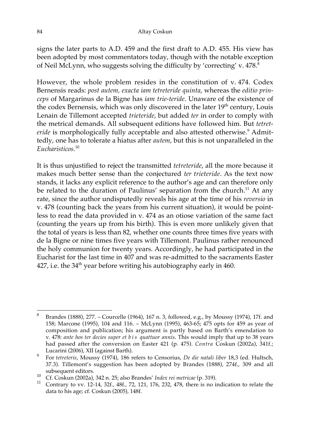### 84 Altay Coskun

signs the later parts to A.D. 459 and the first draft to A.D. 455. His view has been adopted by most commentators today, though with the notable exception of Neil McLynn, who suggests solving the difficulty by 'correcting' v. 478.8

However, the whole problem resides in the constitution of v. 474. Codex Bernensis reads: *post autem, exacta iam tetreteride quinta*, whereas the *editio princeps* of Margarinus de la Bigne has *iam trie-teride*. Unaware of the existence of the codex Bernensis, which was only discovered in the later  $19<sup>th</sup>$  century, Louis Lenain de Tillemont accepted *trieteride*, but added *ter* in order to comply with the metrical demands. All subsequent editions have followed him. But *tetreteride* is morphologically fully acceptable and also attested otherwise.<sup>9</sup> Admittedly, one has to tolerate a hiatus after *autem*, but this is not unparalleled in the *Eucharisticos*. 10

It is thus unjustified to reject the transmitted *tetreteride*, all the more because it makes much better sense than the conjectured *ter trieteride*. As the text now stands, it lacks any explicit reference to the author's age and can therefore only be related to the duration of Paulinus' separation from the church.<sup>11</sup> At any rate, since the author undisputedly reveals his age at the time of his *reversio* in v. 478 (counting back the years from his current situation), it would be pointless to read the data provided in v. 474 as an otiose variation of the same fact (counting the years up from his birth). This is even more unlikely given that the total of years is less than 82, whether one counts three times five years with de la Bigne or nine times five years with Tillemont. Paulinus rather renounced the holy communion for twenty years. Accordingly, he had participated in the Eucharist for the last time in 407 and was re-admitted to the sacraments Easter 427, i.e. the  $34<sup>th</sup>$  year before writing his autobiography early in 460.

 $\overline{a}$ 

<sup>8</sup> Brandes (1888), 277. – Courcelle (1964), 167 n. 3, followed, e.g., by Moussy (1974), 17f. and 158; Marcone (1995), 104 and 116. – McLynn (1995), 463-65; 475 opts for 459 as year of composition and publication; his argument is partly based on Barth's emendation to v. 478: *ante hos ter decies super et b i s quattuor annis*. This would imply that up to 38 years had passed after the conversion on Easter 421 (p. 475). *Contra* Coskun (2002a), 341f.; Lucarini (2006), XII (against Barth). <sup>9</sup> For *tetreteris*, Moussy (1974), 186 refers to Censorius, *De die natali liber* 18,3 (ed. Hultsch,

<sup>37.3).</sup> Tillemont's suggestion has been adopted by Brandes (1888), 274f., 309 and all

subsequent editors.<br><sup>10</sup> Cf. Coskun (2002a), 342 n. 25; also Brandes' *Index rei metricae* (p. 319).<br><sup>11</sup> Contrany to wy 12, 14, 32f, 48f, 72, 121, 176, 232, 478, there is no if

<sup>11</sup> Contrary to vv. 12-14, 32f., 48f., 72, 121, 176, 232, 478, there is no indication to relate the data to his age; cf. Coskun (2005), 148f.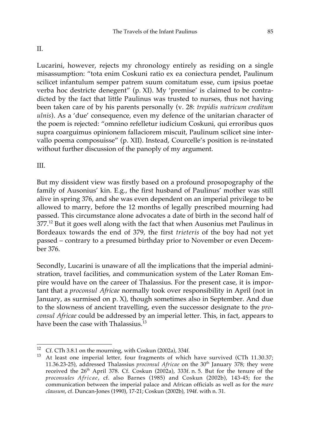### II.

Lucarini, however, rejects my chronology entirely as residing on a single misassumption: "tota enim Coskuni ratio ex ea coniectura pendet, Paulinum scilicet infantulum semper patrem suum comitatum esse, cum ipsius poetae verba hoc destricte denegent" (p. XI). My 'premise' is claimed to be contradicted by the fact that little Paulinus was trusted to nurses, thus not having been taken care of by his parents personally (v. 28: *trepidis nutricum creditum ulnis*). As a 'due' consequence, even my defence of the unitarian character of the poem is rejected: "omnino refelletur iudicium Coskuni, qui erroribus quos supra coarguimus opinionem fallaciorem miscuit, Paulinum scilicet sine intervallo poema composuisse" (p. XII). Instead, Courcelle's position is re-instated without further discussion of the panoply of my argument.

III.

But my dissident view was firstly based on a profound prosopography of the family of Ausonius' kin. E.g., the first husband of Paulinus' mother was still alive in spring 376, and she was even dependent on an imperial privilege to be allowed to marry, before the 12 months of legally prescribed mourning had passed. This circumstance alone advocates a date of birth in the second half of 377.12 But it goes well along with the fact that when Ausonius met Paulinus in Bordeaux towards the end of 379, the first *trieteris* of the boy had not yet passed – contrary to a presumed birthday prior to November or even December 376.

Secondly, Lucarini is unaware of all the implications that the imperial administration, travel facilities, and communication system of the Later Roman Empire would have on the career of Thalassius. For the present case, it is important that a *proconsul Africae* normally took over responsibility in April (not in January, as surmised on p. X), though sometimes also in September. And due to the slowness of ancient travelling, even the successor designate to the *proconsul Africae* could be addressed by an imperial letter. This, in fact, appears to have been the case with Thalassius.<sup>13</sup>

<sup>&</sup>lt;sup>12</sup> Cf. CTh 3.8.1 on the mourning, with Coskun (2002a), 334f.<br><sup>13</sup> At least one imperial letter, four fragments of which have survived (CTh 11.30.37; 11.36.23-25), addressed Thalassius *proconsul Africae* on the 30<sup>th</sup> January 378; they were received the  $26<sup>th</sup>$  April 378. Cf. Coskun (2002a), 333f. n. 5. But for the tenure of the *proconsules Africae*, cf. also Barnes (1985) and Coskun (2002b), 143-45; for the communication between the imperial palace and African officials as well as for the *mare clausum*, cf. Duncan-Jones (1990), 17-21; Coskun (2002b), 194f. with n. 31.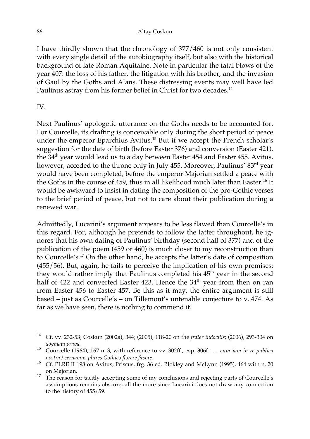### 86 Altay Coskun

I have thirdly shown that the chronology of 377/460 is not only consistent with every single detail of the autobiography itself, but also with the historical background of late Roman Aquitaine. Note in particular the fatal blows of the year 407: the loss of his father, the litigation with his brother, and the invasion of Gaul by the Goths and Alans. These distressing events may well have led Paulinus astray from his former belief in Christ for two decades.<sup>14</sup>

## IV.

Next Paulinus' apologetic utterance on the Goths needs to be accounted for. For Courcelle, its drafting is conceivable only during the short period of peace under the emperor Eparchius Avitus.15 But if we accept the French scholar's suggestion for the date of birth (before Easter 376) and conversion (Easter 421), the 34<sup>th</sup> year would lead us to a day between Easter 454 and Easter 455. Avitus, however, acceded to the throne only in July 455. Moreover, Paulinus' 83<sup>rd</sup> year would have been completed, before the emperor Majorian settled a peace with the Goths in the course of 459, thus in all likelihood much later than Easter.<sup>16</sup> It would be awkward to insist in dating the composition of the pro-Gothic verses to the brief period of peace, but not to care about their publication during a renewed war.

Admittedly, Lucarini's argument appears to be less flawed than Courcelle's in this regard. For, although he pretends to follow the latter throughout, he ignores that his own dating of Paulinus' birthday (second half of 377) and of the publication of the poem (459 or 460) is much closer to my reconstruction than to Courcelle's.17 On the other hand, he accepts the latter's date of composition (455/56). But, again, he fails to perceive the implication of his own premises: they would rather imply that Paulinus completed his 45<sup>th</sup> year in the second half of 422 and converted Easter 423. Hence the 34<sup>th</sup> year from then on ran from Easter 456 to Easter 457. Be this as it may, the entire argument is still based – just as Courcelle's – on Tillemont's untenable conjecture to v. 474. As far as we have seen, there is nothing to commend it.

<sup>14</sup> Cf. vv. 232-53; Coskun (2002a), 344; (2005), 118-20 on the *frater indocilis*; (2006), 293-304 on

*dogmata prava*. <sup>15</sup> Courcelle (1964), 167 n. 3, with reference to vv. 302ff., esp. 306f.: … *cum iam in re publica*

*nostra / cernamus plures Gothico florere favore*. <sup>16</sup> Cf. PLRE II 198 on Avitus; Priscus, frg. 36 ed. Blokley and McLynn (1995), 464 with n. <sup>20</sup>

on Majorian.<br><sup>17</sup> The reason for tacitly accepting some of my conclusions and rejecting parts of Courcelle's assumptions remains obscure, all the more since Lucarini does not draw any connection to the history of 455/59.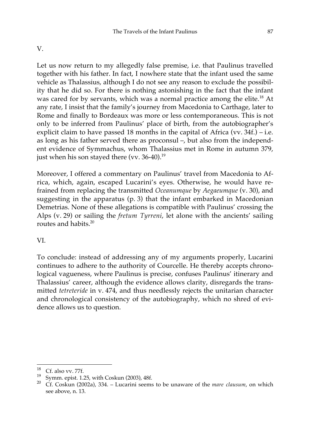V.

Let us now return to my allegedly false premise, i.e. that Paulinus travelled together with his father. In fact, I nowhere state that the infant used the same vehicle as Thalassius, although I do not see any reason to exclude the possibility that he did so. For there is nothing astonishing in the fact that the infant was cared for by servants, which was a normal practice among the elite.<sup>18</sup> At any rate, I insist that the family's journey from Macedonia to Carthage, later to Rome and finally to Bordeaux was more or less contemporaneous. This is not only to be inferred from Paulinus' place of birth, from the autobiographer's explicit claim to have passed 18 months in the capital of Africa (vv.  $34f.$ ) – i.e. as long as his father served there as proconsul –, but also from the independent evidence of Symmachus, whom Thalassius met in Rome in autumn 379, just when his son stayed there (vv. 36-40).<sup>19</sup>

Moreover, I offered a commentary on Paulinus' travel from Macedonia to Africa, which, again, escaped Lucarini's eyes. Otherwise, he would have refrained from replacing the transmitted *Oceanumque* by *Aegaeumque* (v. 30), and suggesting in the apparatus (p. 3) that the infant embarked in Macedonian Demetrias. None of these allegations is compatible with Paulinus' crossing the Alps (v. 29) or sailing the *fretum Tyrreni*, let alone with the ancients' sailing routes and habits.20

VI.

To conclude: instead of addressing any of my arguments properly, Lucarini continues to adhere to the authority of Courcelle. He thereby accepts chronological vagueness, where Paulinus is precise, confuses Paulinus' itinerary and Thalassius' career, although the evidence allows clarity, disregards the transmitted *tetreteride* in v. 474, and thus needlessly rejects the unitarian character and chronological consistency of the autobiography, which no shred of evidence allows us to question.

<sup>18</sup>  $^{18}$  Cf. also vv. 77f.

<sup>&</sup>lt;sup>19</sup> Symm. epist. 1.25, with Coskun (2003), 48f.

<sup>20</sup> Cf. Coskun (2002a), 334. – Lucarini seems to be unaware of the *mare clausum*, on which see above, n. 13.